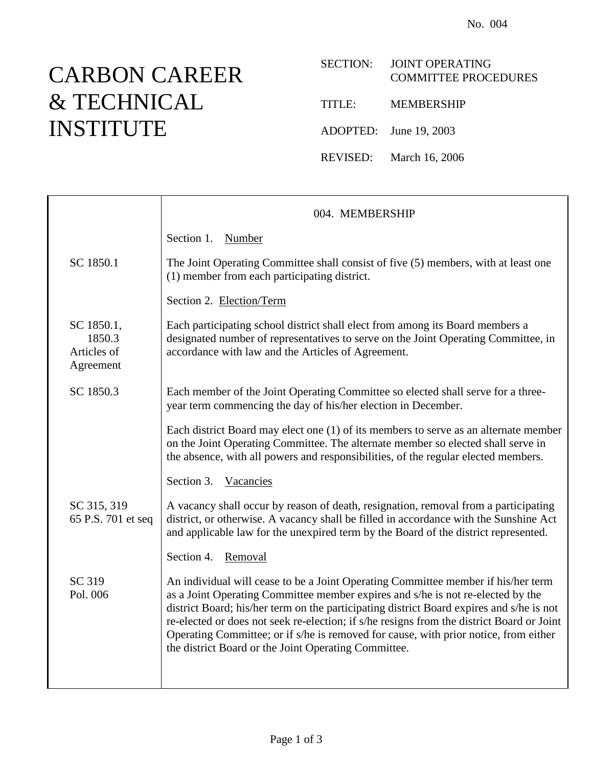## CARBON CAREER & TECHNICAL INSTITUTE

## SECTION: JOINT OPERATING COMMITTEE PROCEDURES

TITLE: MEMBERSHIP

ADOPTED: June 19, 2003

REVISED: March 16, 2006

|                                                  | 004. MEMBERSHIP                                                                                                                                                                                                                                                                                                                                                                                                                                                                                               |
|--------------------------------------------------|---------------------------------------------------------------------------------------------------------------------------------------------------------------------------------------------------------------------------------------------------------------------------------------------------------------------------------------------------------------------------------------------------------------------------------------------------------------------------------------------------------------|
|                                                  | Section 1.<br>Number                                                                                                                                                                                                                                                                                                                                                                                                                                                                                          |
| SC 1850.1                                        | The Joint Operating Committee shall consist of five (5) members, with at least one<br>(1) member from each participating district.                                                                                                                                                                                                                                                                                                                                                                            |
|                                                  | Section 2. Election/Term                                                                                                                                                                                                                                                                                                                                                                                                                                                                                      |
| SC 1850.1,<br>1850.3<br>Articles of<br>Agreement | Each participating school district shall elect from among its Board members a<br>designated number of representatives to serve on the Joint Operating Committee, in<br>accordance with law and the Articles of Agreement.                                                                                                                                                                                                                                                                                     |
| SC 1850.3                                        | Each member of the Joint Operating Committee so elected shall serve for a three-<br>year term commencing the day of his/her election in December.                                                                                                                                                                                                                                                                                                                                                             |
|                                                  | Each district Board may elect one (1) of its members to serve as an alternate member<br>on the Joint Operating Committee. The alternate member so elected shall serve in<br>the absence, with all powers and responsibilities, of the regular elected members.                                                                                                                                                                                                                                                |
|                                                  | Section 3.<br>Vacancies                                                                                                                                                                                                                                                                                                                                                                                                                                                                                       |
| SC 315, 319<br>65 P.S. 701 et seq                | A vacancy shall occur by reason of death, resignation, removal from a participating<br>district, or otherwise. A vacancy shall be filled in accordance with the Sunshine Act<br>and applicable law for the unexpired term by the Board of the district represented.                                                                                                                                                                                                                                           |
|                                                  | Section 4.<br>Removal                                                                                                                                                                                                                                                                                                                                                                                                                                                                                         |
| SC 319<br>Pol. 006                               | An individual will cease to be a Joint Operating Committee member if his/her term<br>as a Joint Operating Committee member expires and s/he is not re-elected by the<br>district Board; his/her term on the participating district Board expires and s/he is not<br>re-elected or does not seek re-election; if s/he resigns from the district Board or Joint<br>Operating Committee; or if s/he is removed for cause, with prior notice, from either<br>the district Board or the Joint Operating Committee. |
|                                                  |                                                                                                                                                                                                                                                                                                                                                                                                                                                                                                               |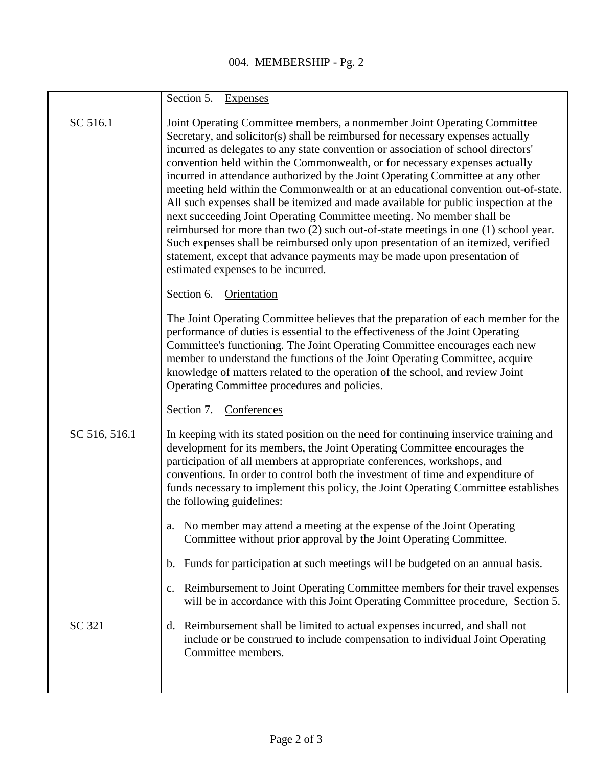|               | Section 5.<br><b>Expenses</b>                                                                                                                                                                                                                                                                                                                                                                                                                                                                                                                                                                                                                                                                                                                                                                                                                                                                                                                                          |
|---------------|------------------------------------------------------------------------------------------------------------------------------------------------------------------------------------------------------------------------------------------------------------------------------------------------------------------------------------------------------------------------------------------------------------------------------------------------------------------------------------------------------------------------------------------------------------------------------------------------------------------------------------------------------------------------------------------------------------------------------------------------------------------------------------------------------------------------------------------------------------------------------------------------------------------------------------------------------------------------|
| SC 516.1      | Joint Operating Committee members, a nonmember Joint Operating Committee<br>Secretary, and solicitor(s) shall be reimbursed for necessary expenses actually<br>incurred as delegates to any state convention or association of school directors'<br>convention held within the Commonwealth, or for necessary expenses actually<br>incurred in attendance authorized by the Joint Operating Committee at any other<br>meeting held within the Commonwealth or at an educational convention out-of-state.<br>All such expenses shall be itemized and made available for public inspection at the<br>next succeeding Joint Operating Committee meeting. No member shall be<br>reimbursed for more than two (2) such out-of-state meetings in one (1) school year.<br>Such expenses shall be reimbursed only upon presentation of an itemized, verified<br>statement, except that advance payments may be made upon presentation of<br>estimated expenses to be incurred. |
|               | Section 6. Orientation                                                                                                                                                                                                                                                                                                                                                                                                                                                                                                                                                                                                                                                                                                                                                                                                                                                                                                                                                 |
|               | The Joint Operating Committee believes that the preparation of each member for the<br>performance of duties is essential to the effectiveness of the Joint Operating<br>Committee's functioning. The Joint Operating Committee encourages each new<br>member to understand the functions of the Joint Operating Committee, acquire<br>knowledge of matters related to the operation of the school, and review Joint<br>Operating Committee procedures and policies.                                                                                                                                                                                                                                                                                                                                                                                                                                                                                                    |
|               | Section 7. Conferences                                                                                                                                                                                                                                                                                                                                                                                                                                                                                                                                                                                                                                                                                                                                                                                                                                                                                                                                                 |
| SC 516, 516.1 | In keeping with its stated position on the need for continuing inservice training and<br>development for its members, the Joint Operating Committee encourages the<br>participation of all members at appropriate conferences, workshops, and<br>conventions. In order to control both the investment of time and expenditure of<br>funds necessary to implement this policy, the Joint Operating Committee establishes<br>the following guidelines:                                                                                                                                                                                                                                                                                                                                                                                                                                                                                                                   |
|               | a. No member may attend a meeting at the expense of the Joint Operating<br>Committee without prior approval by the Joint Operating Committee.                                                                                                                                                                                                                                                                                                                                                                                                                                                                                                                                                                                                                                                                                                                                                                                                                          |
|               | b. Funds for participation at such meetings will be budgeted on an annual basis.                                                                                                                                                                                                                                                                                                                                                                                                                                                                                                                                                                                                                                                                                                                                                                                                                                                                                       |
|               | Reimbursement to Joint Operating Committee members for their travel expenses<br>$c_{\cdot}$<br>will be in accordance with this Joint Operating Committee procedure, Section 5.                                                                                                                                                                                                                                                                                                                                                                                                                                                                                                                                                                                                                                                                                                                                                                                         |
| SC 321        | Reimbursement shall be limited to actual expenses incurred, and shall not<br>d.<br>include or be construed to include compensation to individual Joint Operating<br>Committee members.                                                                                                                                                                                                                                                                                                                                                                                                                                                                                                                                                                                                                                                                                                                                                                                 |
|               |                                                                                                                                                                                                                                                                                                                                                                                                                                                                                                                                                                                                                                                                                                                                                                                                                                                                                                                                                                        |